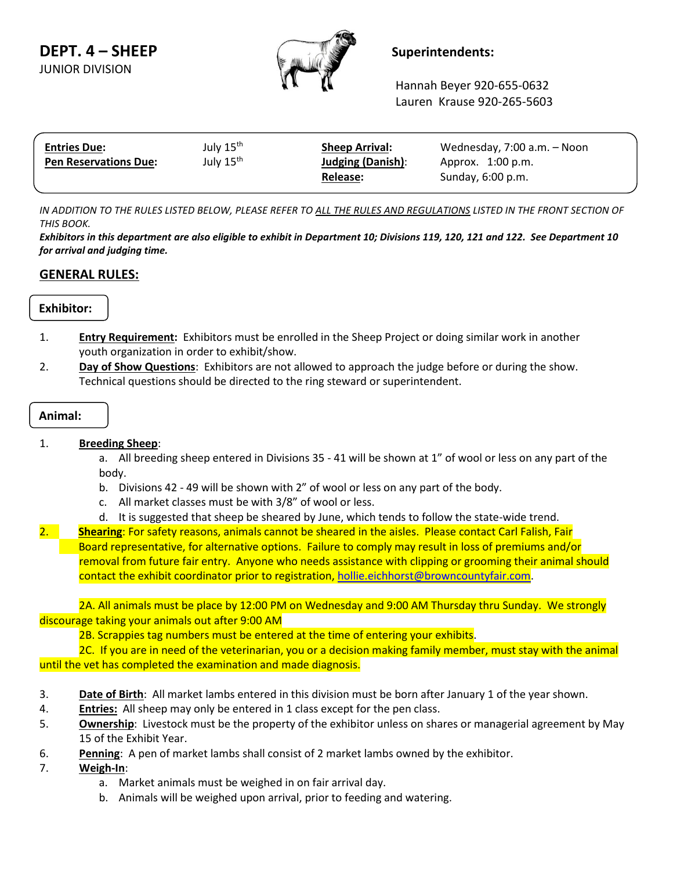

Hannah Beyer 920-655-0632 Lauren Krause 920-265-5603

| <b>Entries Due:</b>          | July 15 <sup>th</sup> | <b>Sheep Arrival:</b>    | Wednesday, 7:00 a.m. - Noon |  |
|------------------------------|-----------------------|--------------------------|-----------------------------|--|
| <b>Pen Reservations Due:</b> | July 15 <sup>th</sup> | <b>Judging (Danish):</b> | Approx. 1:00 p.m.           |  |
|                              |                       | Release:                 | Sunday, 6:00 p.m.           |  |
|                              |                       |                          |                             |  |

*IN ADDITION TO THE RULES LISTED BELOW, PLEASE REFER TO ALL THE RULES AND REGULATIONS LISTED IN THE FRONT SECTION OF THIS BOOK.*

*Exhibitors in this department are also eligible to exhibit in Department 10; Divisions 119, 120, 121 and 122. See Department 10 for arrival and judging time.*

## **GENERAL RULES:**

## **Exhibitor:**

- 1. **Entry Requirement:** Exhibitors must be enrolled in the Sheep Project or doing similar work in another youth organization in order to exhibit/show.
- 2. **Day of Show Questions**: Exhibitors are not allowed to approach the judge before or during the show. Technical questions should be directed to the ring steward or superintendent.

# **Animal:**

#### 1. **Breeding Sheep**:

a. All breeding sheep entered in Divisions 35 - 41 will be shown at 1" of wool or less on any part of the body.

- b. Divisions 42 49 will be shown with 2" of wool or less on any part of the body.
- c. All market classes must be with 3/8" of wool or less.
- d. It is suggested that sheep be sheared by June, which tends to follow the state-wide trend.
- 2. **Shearing**: For safety reasons, animals cannot be sheared in the aisles. Please contact Carl Falish, Fair Board representative, for alternative options. Failure to comply may result in loss of premiums and/or removal from future fair entry. Anyone who needs assistance with clipping or grooming their animal should contact the exhibit coordinator prior to registration, [hollie.eichhorst@browncountyfair.com.](mailto:hollie.eichhorst@browncountyfair.com)

2A. All animals must be place by 12:00 PM on Wednesday and 9:00 AM Thursday thru Sunday. We strongly discourage taking your animals out after 9:00 AM

2B. Scrappies tag numbers must be entered at the time of entering your exhibits.

2C. If you are in need of the veterinarian, you or a decision making family member, must stay with the animal until the vet has completed the examination and made diagnosis.

- 3. **Date of Birth**: All market lambs entered in this division must be born after January 1 of the year shown.
- 4. **Entries:** All sheep may only be entered in 1 class except for the pen class.
- 5. **Ownership**: Livestock must be the property of the exhibitor unless on shares or managerial agreement by May 15 of the Exhibit Year.
- 6. **Penning**: A pen of market lambs shall consist of 2 market lambs owned by the exhibitor.
- 7. **Weigh-In**:
	- a. Market animals must be weighed in on fair arrival day.
	- b. Animals will be weighed upon arrival, prior to feeding and watering.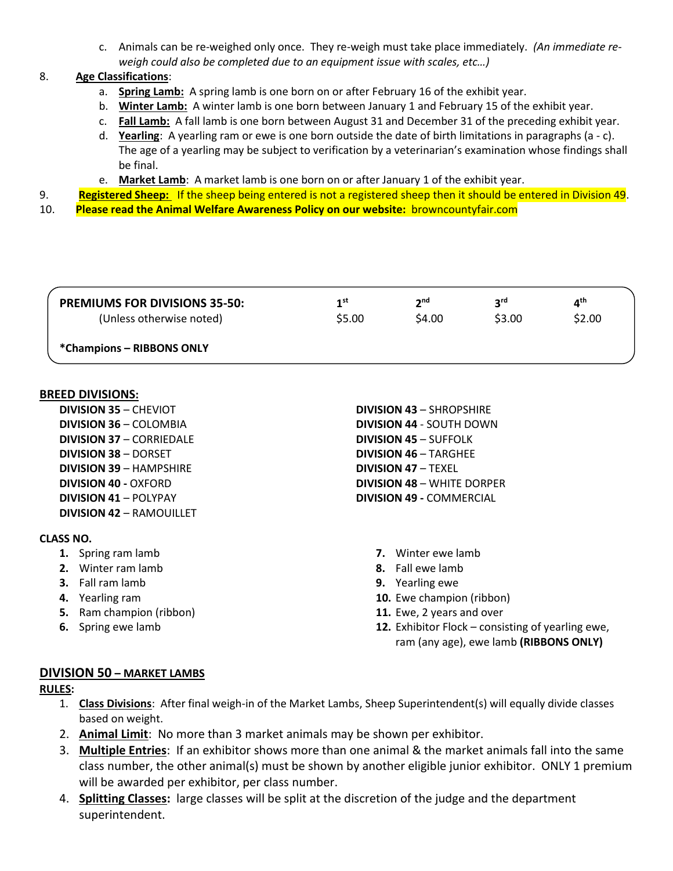c. Animals can be re-weighed only once. They re-weigh must take place immediately. *(An immediate reweigh could also be completed due to an equipment issue with scales, etc…)*

## 8. **Age Classifications**:

- a. **Spring Lamb:** A spring lamb is one born on or after February 16 of the exhibit year.
- b. **Winter Lamb:** A winter lamb is one born between January 1 and February 15 of the exhibit year.
- c. **Fall Lamb:** A fall lamb is one born between August 31 and December 31 of the preceding exhibit year.
- d. **Yearling**: A yearling ram or ewe is one born outside the date of birth limitations in paragraphs (a c). The age of a yearling may be subject to verification by a veterinarian's examination whose findings shall be final.
- e. **Market Lamb**: A market lamb is one born on or after January 1 of the exhibit year.
- 9. **Registered Sheep:** If the sheep being entered is not a registered sheep then it should be entered in Division 49.
- 10. **Please read the Animal Welfare Awareness Policy on our website:** browncountyfair.com

| <b>PREMIUMS FOR DIVISIONS 35-50:</b> | 1st    | 2 <sub>nd</sub> | <b>S</b> rq | ⊿th    |
|--------------------------------------|--------|-----------------|-------------|--------|
| (Unless otherwise noted)             | \$5.00 | \$4.00          | \$3.00      | \$2.00 |
| *Champions - RIBBONS ONLY            |        |                 |             |        |

#### **BREED DIVISIONS:**

**DIVISION 35** – CHEVIOT **DIVISION 36** – COLOMBIA **DIVISION 37** – CORRIEDALE **DIVISION 38** – DORSET **DIVISION 39** – HAMPSHIRE **DIVISION 40 -** OXFORD **DIVISION 41** – POLYPAY **DIVISION 42** – RAMOUILLET

## **CLASS NO.**

- **1.** Spring ram lamb
- **2.** Winter ram lamb
- **3.** Fall ram lamb
- **4.** Yearling ram
- **5.** Ram champion (ribbon)
- **6.** Spring ewe lamb
- **DIVISION 43** SHROPSHIRE **DIVISION 44** - SOUTH DOWN **DIVISION 45** – SUFFOLK **DIVISION 46** – TARGHEE **DIVISION 47** – TEXEL **DIVISION 48** – WHITE DORPER **DIVISION 49 -** COMMERCIAL
	- **7.** Winter ewe lamb
	- **8.** Fall ewe lamb
	- **9.** Yearling ewe
	- **10.** Ewe champion (ribbon)
	- **11.** Ewe, 2 years and over
	- **12.** Exhibitor Flock consisting of yearling ewe, ram (any age), ewe lamb **(RIBBONS ONLY)**

## **DIVISION 50 – MARKET LAMBS**

## **RULES:**

- 1. **Class Divisions**: After final weigh-in of the Market Lambs, Sheep Superintendent(s) will equally divide classes based on weight.
- 2. **Animal Limit**: No more than 3 market animals may be shown per exhibitor.
- 3. **Multiple Entries**: If an exhibitor shows more than one animal & the market animals fall into the same class number, the other animal(s) must be shown by another eligible junior exhibitor. ONLY 1 premium will be awarded per exhibitor, per class number.
- 4. **Splitting Classes:** large classes will be split at the discretion of the judge and the department superintendent.